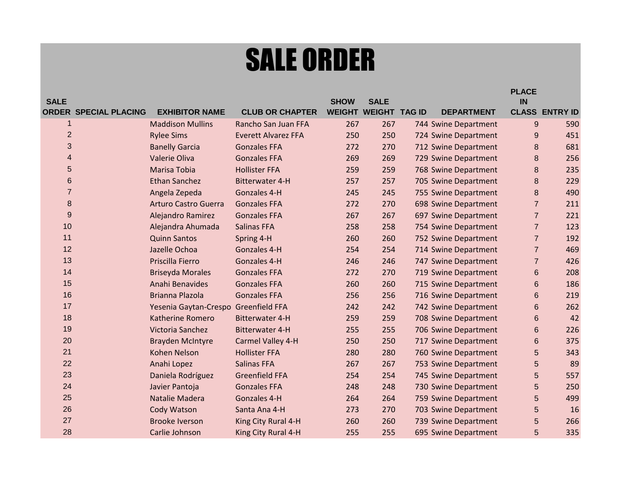## SALE ORDER

| <b>SALE</b>    |                              |                                      |                            | <b>SHOW</b>   | <b>SALE</b>   |               |                      | <b>PLACE</b><br><b>IN</b> |                       |
|----------------|------------------------------|--------------------------------------|----------------------------|---------------|---------------|---------------|----------------------|---------------------------|-----------------------|
|                | <b>ORDER SPECIAL PLACING</b> | <b>EXHIBITOR NAME</b>                | <b>CLUB OR CHAPTER</b>     | <b>WEIGHT</b> | <b>WEIGHT</b> | <b>TAG ID</b> | <b>DEPARTMENT</b>    |                           | <b>CLASS ENTRY ID</b> |
| 1              |                              | <b>Maddison Mullins</b>              | Rancho San Juan FFA        | 267           | 267           |               | 744 Swine Department | $9\,$                     | 590                   |
| $\overline{2}$ |                              | <b>Rylee Sims</b>                    | <b>Everett Alvarez FFA</b> | 250           | 250           |               | 724 Swine Department | 9                         | 451                   |
| 3              |                              | <b>Banelly Garcia</b>                | <b>Gonzales FFA</b>        | 272           | 270           |               | 712 Swine Department | 8                         | 681                   |
| 4              |                              | Valerie Oliva                        | <b>Gonzales FFA</b>        | 269           | 269           |               | 729 Swine Department | 8                         | 256                   |
| 5              |                              | Marisa Tobia                         | <b>Hollister FFA</b>       | 259           | 259           |               | 768 Swine Department | 8                         | 235                   |
| 6              |                              | <b>Ethan Sanchez</b>                 | <b>Bitterwater 4-H</b>     | 257           | 257           |               | 705 Swine Department | 8                         | 229                   |
| $\overline{7}$ |                              | Angela Zepeda                        | Gonzales 4-H               | 245           | 245           |               | 755 Swine Department | 8                         | 490                   |
| 8              |                              | <b>Arturo Castro Guerra</b>          | <b>Gonzales FFA</b>        | 272           | 270           |               | 698 Swine Department | $\overline{7}$            | 211                   |
| 9              |                              | Alejandro Ramirez                    | <b>Gonzales FFA</b>        | 267           | 267           |               | 697 Swine Department | $\overline{7}$            | 221                   |
| 10             |                              | Alejandra Ahumada                    | <b>Salinas FFA</b>         | 258           | 258           |               | 754 Swine Department | $\overline{7}$            | 123                   |
| 11             |                              | <b>Quinn Santos</b>                  | Spring 4-H                 | 260           | 260           |               | 752 Swine Department | $\overline{7}$            | 192                   |
| 12             |                              | Jazelle Ochoa                        | Gonzales 4-H               | 254           | 254           |               | 714 Swine Department | $\overline{7}$            | 469                   |
| 13             |                              | Priscilla Fierro                     | Gonzales 4-H               | 246           | 246           |               | 747 Swine Department | $\overline{7}$            | 426                   |
| 14             |                              | <b>Briseyda Morales</b>              | <b>Gonzales FFA</b>        | 272           | 270           |               | 719 Swine Department | 6                         | 208                   |
| 15             |                              | Anahi Benavides                      | <b>Gonzales FFA</b>        | 260           | 260           |               | 715 Swine Department | 6                         | 186                   |
| 16             |                              | Brianna Plazola                      | <b>Gonzales FFA</b>        | 256           | 256           |               | 716 Swine Department | 6                         | 219                   |
| 17             |                              | Yesenia Gaytan-Crespo Greenfield FFA |                            | 242           | 242           |               | 742 Swine Department | 6                         | 262                   |
| 18             |                              | <b>Katherine Romero</b>              | <b>Bitterwater 4-H</b>     | 259           | 259           |               | 708 Swine Department | 6                         | 42                    |
| 19             |                              | Victoria Sanchez                     | <b>Bitterwater 4-H</b>     | 255           | 255           |               | 706 Swine Department | 6                         | 226                   |
| 20             |                              | <b>Brayden McIntyre</b>              | Carmel Valley 4-H          | 250           | 250           |               | 717 Swine Department | 6                         | 375                   |
| 21             |                              | Kohen Nelson                         | <b>Hollister FFA</b>       | 280           | 280           |               | 760 Swine Department | 5                         | 343                   |
| 22             |                              | Anahi Lopez                          | <b>Salinas FFA</b>         | 267           | 267           |               | 753 Swine Department | 5                         | 89                    |
| 23             |                              | Daniela Rodríguez                    | <b>Greenfield FFA</b>      | 254           | 254           |               | 745 Swine Department | 5                         | 557                   |
| 24             |                              | Javier Pantoja                       | <b>Gonzales FFA</b>        | 248           | 248           |               | 730 Swine Department | 5                         | 250                   |
| 25             |                              | Natalie Madera                       | Gonzales 4-H               | 264           | 264           |               | 759 Swine Department | 5                         | 499                   |
| 26             |                              | Cody Watson                          | Santa Ana 4-H              | 273           | 270           |               | 703 Swine Department | 5                         | 16                    |
| 27             |                              | <b>Brooke Iverson</b>                | King City Rural 4-H        | 260           | 260           |               | 739 Swine Department | 5                         | 266                   |
| 28             |                              | Carlie Johnson                       | King City Rural 4-H        | 255           | 255           |               | 695 Swine Department | 5                         | 335                   |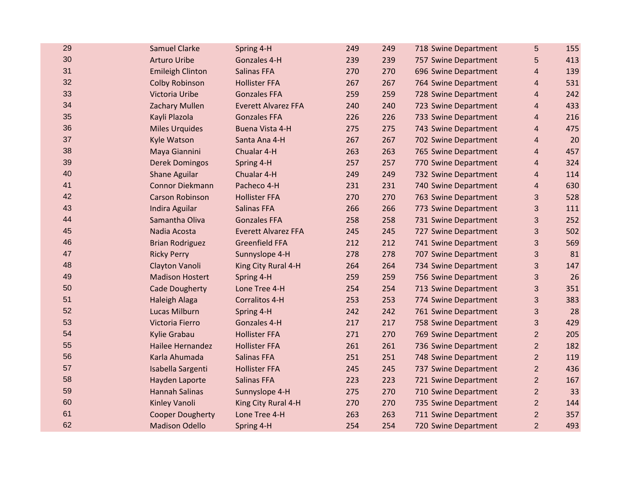| 29 | <b>Samuel Clarke</b>    | Spring 4-H                 | 249 | 249 | 718 Swine Department | 5                         | 155 |
|----|-------------------------|----------------------------|-----|-----|----------------------|---------------------------|-----|
| 30 | <b>Arturo Uribe</b>     | Gonzales 4-H               | 239 | 239 | 757 Swine Department | 5                         | 413 |
| 31 | <b>Emileigh Clinton</b> | <b>Salinas FFA</b>         | 270 | 270 | 696 Swine Department | $\overline{4}$            | 139 |
| 32 | <b>Colby Robinson</b>   | <b>Hollister FFA</b>       | 267 | 267 | 764 Swine Department | $\overline{4}$            | 531 |
| 33 | Victoria Uribe          | <b>Gonzales FFA</b>        | 259 | 259 | 728 Swine Department | 4                         | 242 |
| 34 | <b>Zachary Mullen</b>   | <b>Everett Alvarez FFA</b> | 240 | 240 | 723 Swine Department | 4                         | 433 |
| 35 | Kayli Plazola           | <b>Gonzales FFA</b>        | 226 | 226 | 733 Swine Department | 4                         | 216 |
| 36 | <b>Miles Urquides</b>   | Buena Vista 4-H            | 275 | 275 | 743 Swine Department | $\overline{4}$            | 475 |
| 37 | Kyle Watson             | Santa Ana 4-H              | 267 | 267 | 702 Swine Department | $\overline{4}$            | 20  |
| 38 | Maya Giannini           | Chualar 4-H                | 263 | 263 | 765 Swine Department | $\overline{\mathbf{4}}$   | 457 |
| 39 | <b>Derek Domingos</b>   | Spring 4-H                 | 257 | 257 | 770 Swine Department | 4                         | 324 |
| 40 | <b>Shane Aguilar</b>    | Chualar 4-H                | 249 | 249 | 732 Swine Department | $\overline{4}$            | 114 |
| 41 | <b>Connor Diekmann</b>  | Pacheco 4-H                | 231 | 231 | 740 Swine Department | $\overline{4}$            | 630 |
| 42 | <b>Carson Robinson</b>  | <b>Hollister FFA</b>       | 270 | 270 | 763 Swine Department | 3                         | 528 |
| 43 | Indira Aguilar          | <b>Salinas FFA</b>         | 266 | 266 | 773 Swine Department | 3                         | 111 |
| 44 | Samantha Oliva          | <b>Gonzales FFA</b>        | 258 | 258 | 731 Swine Department | 3                         | 252 |
| 45 | Nadia Acosta            | <b>Everett Alvarez FFA</b> | 245 | 245 | 727 Swine Department | 3                         | 502 |
| 46 | <b>Brian Rodriguez</b>  | <b>Greenfield FFA</b>      | 212 | 212 | 741 Swine Department | $\sqrt{3}$                | 569 |
| 47 | <b>Ricky Perry</b>      | Sunnyslope 4-H             | 278 | 278 | 707 Swine Department | $\ensuremath{\mathsf{3}}$ | 81  |
| 48 | Clayton Vanoli          | King City Rural 4-H        | 264 | 264 | 734 Swine Department | 3                         | 147 |
| 49 | <b>Madison Hostert</b>  | Spring 4-H                 | 259 | 259 | 756 Swine Department | 3                         | 26  |
| 50 | <b>Cade Dougherty</b>   | Lone Tree 4-H              | 254 | 254 | 713 Swine Department | 3                         | 351 |
| 51 | Haleigh Alaga           | Corralitos 4-H             | 253 | 253 | 774 Swine Department | 3                         | 383 |
| 52 | Lucas Milburn           | Spring 4-H                 | 242 | 242 | 761 Swine Department | 3                         | 28  |
| 53 | Victoria Fierro         | Gonzales 4-H               | 217 | 217 | 758 Swine Department | 3                         | 429 |
| 54 | Kylie Grabau            | <b>Hollister FFA</b>       | 271 | 270 | 769 Swine Department | $\overline{2}$            | 205 |
| 55 | Hailee Hernandez        | <b>Hollister FFA</b>       | 261 | 261 | 736 Swine Department | $\overline{2}$            | 182 |
| 56 | Karla Ahumada           | <b>Salinas FFA</b>         | 251 | 251 | 748 Swine Department | $\overline{2}$            | 119 |
| 57 | Isabella Sargenti       | <b>Hollister FFA</b>       | 245 | 245 | 737 Swine Department | $\overline{2}$            | 436 |
| 58 | Hayden Laporte          | <b>Salinas FFA</b>         | 223 | 223 | 721 Swine Department | $\overline{2}$            | 167 |
| 59 | <b>Hannah Salinas</b>   | Sunnyslope 4-H             | 275 | 270 | 710 Swine Department | $\overline{2}$            | 33  |
| 60 | Kinley Vanoli           | King City Rural 4-H        | 270 | 270 | 735 Swine Department | $\overline{2}$            | 144 |
| 61 | <b>Cooper Dougherty</b> | Lone Tree 4-H              | 263 | 263 | 711 Swine Department | $\overline{2}$            | 357 |
| 62 | <b>Madison Odello</b>   | Spring 4-H                 | 254 | 254 | 720 Swine Department | $\overline{2}$            | 493 |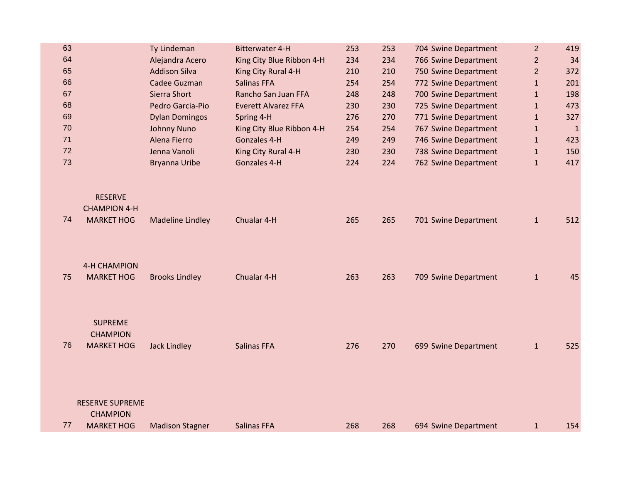| 63 |                                                                | Ty Lindeman             | <b>Bitterwater 4-H</b>     | 253 | 253 | 704 Swine Department | $\overline{2}$ | 419          |
|----|----------------------------------------------------------------|-------------------------|----------------------------|-----|-----|----------------------|----------------|--------------|
| 64 |                                                                | Alejandra Acero         | King City Blue Ribbon 4-H  | 234 | 234 | 766 Swine Department | $\overline{2}$ | 34           |
| 65 |                                                                | <b>Addison Silva</b>    | King City Rural 4-H        | 210 | 210 | 750 Swine Department | $\overline{2}$ | 372          |
| 66 |                                                                | Cadee Guzman            | <b>Salinas FFA</b>         | 254 | 254 | 772 Swine Department | $\mathbf{1}$   | 201          |
| 67 |                                                                | Sierra Short            | Rancho San Juan FFA        | 248 | 248 | 700 Swine Department | $\mathbf 1$    | 198          |
| 68 |                                                                | Pedro Garcia-Pio        | <b>Everett Alvarez FFA</b> | 230 | 230 | 725 Swine Department | $\mathbf 1$    | 473          |
| 69 |                                                                | <b>Dylan Domingos</b>   | Spring 4-H                 | 276 | 270 | 771 Swine Department | $\mathbf 1$    | 327          |
| 70 |                                                                | <b>Johnny Nuno</b>      | King City Blue Ribbon 4-H  | 254 | 254 | 767 Swine Department | $\mathbf{1}$   | $\mathbf{1}$ |
| 71 |                                                                | Alena Fierro            | Gonzales 4-H               | 249 | 249 | 746 Swine Department | $\mathbf{1}$   | 423          |
| 72 |                                                                | Jenna Vanoli            | King City Rural 4-H        | 230 | 230 | 738 Swine Department | $\mathbf{1}$   | 150          |
| 73 |                                                                | <b>Bryanna Uribe</b>    | Gonzales 4-H               | 224 | 224 | 762 Swine Department | $\mathbf{1}$   | 417          |
| 74 | <b>RESERVE</b><br><b>CHAMPION 4-H</b><br><b>MARKET HOG</b>     | <b>Madeline Lindley</b> | Chualar 4-H                | 265 | 265 | 701 Swine Department | $\mathbf{1}$   | 512          |
| 75 | <b>4-H CHAMPION</b><br><b>MARKET HOG</b>                       | <b>Brooks Lindley</b>   | Chualar 4-H                | 263 | 263 | 709 Swine Department | $\mathbf{1}$   | 45           |
| 76 | <b>SUPREME</b><br><b>CHAMPION</b><br><b>MARKET HOG</b>         | <b>Jack Lindley</b>     | <b>Salinas FFA</b>         | 276 | 270 | 699 Swine Department | $\mathbf{1}$   | 525          |
| 77 | <b>RESERVE SUPREME</b><br><b>CHAMPION</b><br><b>MARKET HOG</b> | <b>Madison Stagner</b>  | <b>Salinas FFA</b>         | 268 | 268 | 694 Swine Department | $\mathbf{1}$   | 154          |
|    |                                                                |                         |                            |     |     |                      |                |              |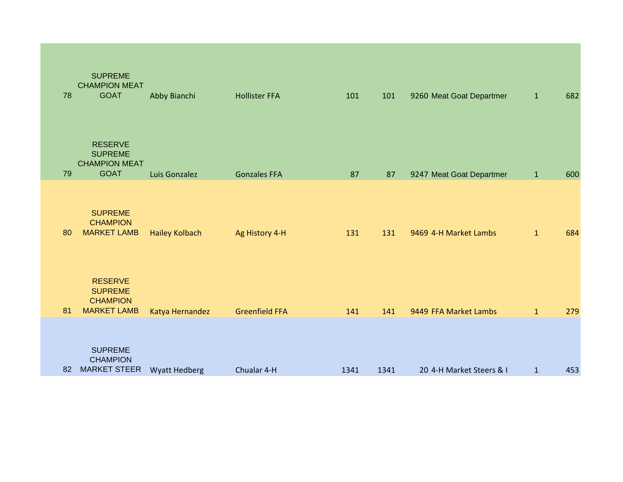| 78 | <b>SUPREME</b><br><b>CHAMPION MEAT</b><br><b>GOAT</b>                     | Abby Bianchi          | <b>Hollister FFA</b>  | 101  | 101  | 9260 Meat Goat Departmer | $\mathbf{1}$ | 682 |
|----|---------------------------------------------------------------------------|-----------------------|-----------------------|------|------|--------------------------|--------------|-----|
| 79 | <b>RESERVE</b><br><b>SUPREME</b><br><b>CHAMPION MEAT</b><br><b>GOAT</b>   | Luis Gonzalez         | <b>Gonzales FFA</b>   | 87   | 87   | 9247 Meat Goat Departmer | $\mathbf 1$  | 600 |
| 80 | <b>SUPREME</b><br><b>CHAMPION</b><br><b>MARKET LAMB</b>                   | <b>Hailey Kolbach</b> | Ag History 4-H        | 131  | 131  | 9469 4-H Market Lambs    | $\mathbf{1}$ | 684 |
| 81 | <b>RESERVE</b><br><b>SUPREME</b><br><b>CHAMPION</b><br><b>MARKET LAMB</b> | Katya Hernandez       | <b>Greenfield FFA</b> | 141  | 141  | 9449 FFA Market Lambs    | $\mathbf{1}$ | 279 |
| 82 | <b>SUPREME</b><br><b>CHAMPION</b><br><b>MARKET STEER</b>                  | <b>Wyatt Hedberg</b>  | Chualar 4-H           | 1341 | 1341 | 20 4-H Market Steers & I | $\mathbf{1}$ | 453 |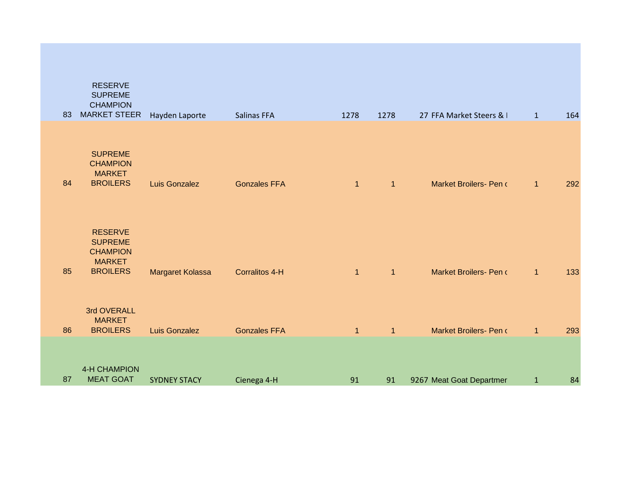| 83 | <b>RESERVE</b><br><b>SUPREME</b><br><b>CHAMPION</b><br><b>MARKET STEER</b>              | Hayden Laporte      | <b>Salinas FFA</b>  | 1278         | 1278           | 27 FFA Market Steers & I | $\mathbf{1}$ | 164 |
|----|-----------------------------------------------------------------------------------------|---------------------|---------------------|--------------|----------------|--------------------------|--------------|-----|
| 84 | <b>SUPREME</b><br><b>CHAMPION</b><br><b>MARKET</b><br><b>BROILERS</b>                   | Luis Gonzalez       | <b>Gonzales FFA</b> | $\mathbf{1}$ | $\mathbf{1}$   | Market Broilers- Pen o   | $\mathbf{1}$ | 292 |
| 85 | <b>RESERVE</b><br><b>SUPREME</b><br><b>CHAMPION</b><br><b>MARKET</b><br><b>BROILERS</b> | Margaret Kolassa    | Corralitos 4-H      | $\mathbf{1}$ | $\mathbf{1}$   | Market Broilers- Pen o   | $\mathbf{1}$ | 133 |
| 86 | 3rd OVERALL<br><b>MARKET</b><br><b>BROILERS</b>                                         | Luis Gonzalez       | <b>Gonzales FFA</b> | $\mathbf{1}$ | $\overline{1}$ | Market Broilers- Pen o   | $\mathbf{1}$ | 293 |
| 87 | <b>4-H CHAMPION</b><br><b>MEAT GOAT</b>                                                 | <b>SYDNEY STACY</b> | Cienega 4-H         | 91           | 91             | 9267 Meat Goat Departmer | $\mathbf{1}$ | 84  |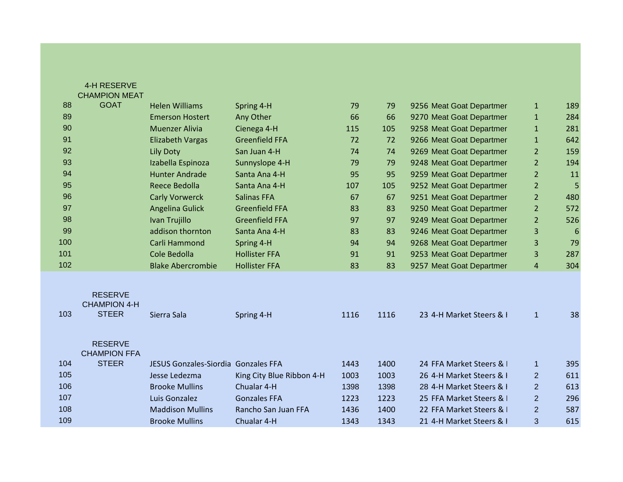|     | 4-H RESERVE                                           |                                     |                           |      |      |                          |                |     |
|-----|-------------------------------------------------------|-------------------------------------|---------------------------|------|------|--------------------------|----------------|-----|
| 88  | <b>CHAMPION MEAT</b><br><b>GOAT</b>                   | <b>Helen Williams</b>               | Spring 4-H                | 79   | 79   | 9256 Meat Goat Departmer | $\mathbf{1}$   | 189 |
| 89  |                                                       | <b>Emerson Hostert</b>              | Any Other                 | 66   | 66   | 9270 Meat Goat Departmer | $\mathbf{1}$   | 284 |
| 90  |                                                       | <b>Muenzer Alivia</b>               | Cienega 4-H               | 115  | 105  | 9258 Meat Goat Departmer | $\mathbf{1}$   | 281 |
| 91  |                                                       |                                     | <b>Greenfield FFA</b>     | 72   | 72   |                          |                | 642 |
| 92  |                                                       | <b>Elizabeth Vargas</b>             |                           |      |      | 9266 Meat Goat Departmer | $\mathbf{1}$   |     |
| 93  |                                                       | Lily Doty                           | San Juan 4-H              | 74   | 74   | 9269 Meat Goat Departmer | $\overline{2}$ | 159 |
|     |                                                       | Izabella Espinoza                   | Sunnyslope 4-H            | 79   | 79   | 9248 Meat Goat Departmer | $\overline{2}$ | 194 |
| 94  |                                                       | <b>Hunter Andrade</b>               | Santa Ana 4-H             | 95   | 95   | 9259 Meat Goat Departmer | $\overline{2}$ | 11  |
| 95  |                                                       | <b>Reece Bedolla</b>                | Santa Ana 4-H             | 107  | 105  | 9252 Meat Goat Departmer | $\overline{a}$ | 5   |
| 96  |                                                       | <b>Carly Vorwerck</b>               | <b>Salinas FFA</b>        | 67   | 67   | 9251 Meat Goat Departmer | $\overline{2}$ | 480 |
| 97  |                                                       | <b>Angelina Gulick</b>              | <b>Greenfield FFA</b>     | 83   | 83   | 9250 Meat Goat Departmer | $\overline{2}$ | 572 |
| 98  |                                                       | Ivan Trujillo                       | <b>Greenfield FFA</b>     | 97   | 97   | 9249 Meat Goat Departmer | $\overline{2}$ | 526 |
| 99  |                                                       | addison thornton                    | Santa Ana 4-H             | 83   | 83   | 9246 Meat Goat Departmer | 3              | 6   |
| 100 |                                                       | Carli Hammond                       | Spring 4-H                | 94   | 94   | 9268 Meat Goat Departmer | 3              | 79  |
| 101 |                                                       | Cole Bedolla                        | <b>Hollister FFA</b>      | 91   | 91   | 9253 Meat Goat Departmer | 3              | 287 |
| 102 |                                                       | <b>Blake Abercrombie</b>            | <b>Hollister FFA</b>      | 83   | 83   | 9257 Meat Goat Departmer | 4              | 304 |
| 103 | <b>RESERVE</b><br><b>CHAMPION 4-H</b><br><b>STEER</b> | Sierra Sala                         | Spring 4-H                | 1116 | 1116 | 23 4-H Market Steers & I | $\mathbf{1}$   | 38  |
|     | <b>RESERVE</b><br><b>CHAMPION FFA</b><br><b>STEER</b> |                                     |                           |      |      |                          |                |     |
| 104 |                                                       | JESUS Gonzales-Siordia Gonzales FFA |                           | 1443 | 1400 | 24 FFA Market Steers & I | $\mathbf{1}$   | 395 |
| 105 |                                                       | Jesse Ledezma                       | King City Blue Ribbon 4-H | 1003 | 1003 | 26 4-H Market Steers & I | $\overline{2}$ | 611 |
| 106 |                                                       | <b>Brooke Mullins</b>               | Chualar 4-H               | 1398 | 1398 | 28 4-H Market Steers & I | $\overline{2}$ | 613 |
| 107 |                                                       | Luis Gonzalez                       | <b>Gonzales FFA</b>       | 1223 | 1223 | 25 FFA Market Steers & I | $\overline{2}$ | 296 |
| 108 |                                                       | <b>Maddison Mullins</b>             | Rancho San Juan FFA       | 1436 | 1400 | 22 FFA Market Steers & I | $\overline{2}$ | 587 |
| 109 |                                                       | <b>Brooke Mullins</b>               | Chualar 4-H               | 1343 | 1343 | 21 4-H Market Steers & I | 3              | 615 |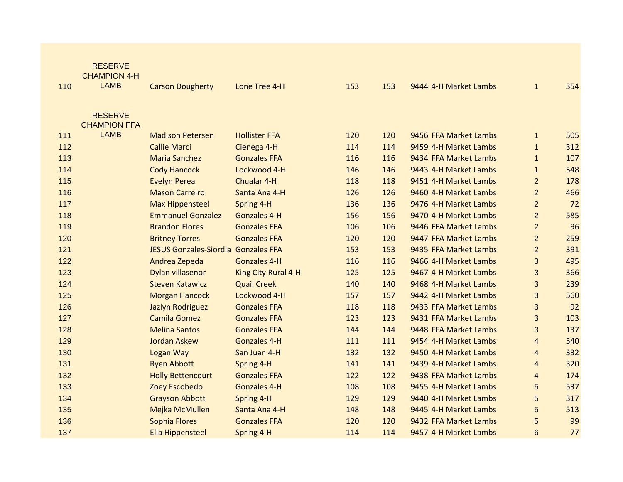|     | <b>RESERVE</b>      |                                     |                      |     |     |                       |                |     |
|-----|---------------------|-------------------------------------|----------------------|-----|-----|-----------------------|----------------|-----|
|     | <b>CHAMPION 4-H</b> |                                     |                      |     |     |                       |                |     |
| 110 | <b>LAMB</b>         | <b>Carson Dougherty</b>             | Lone Tree 4-H        | 153 | 153 | 9444 4-H Market Lambs | $\mathbf{1}$   | 354 |
|     |                     |                                     |                      |     |     |                       |                |     |
|     | <b>RESERVE</b>      |                                     |                      |     |     |                       |                |     |
|     | <b>CHAMPION FFA</b> |                                     |                      |     |     |                       |                |     |
| 111 | <b>LAMB</b>         | <b>Madison Petersen</b>             | <b>Hollister FFA</b> | 120 | 120 | 9456 FFA Market Lambs | $\mathbf{1}$   | 505 |
| 112 |                     | <b>Callie Marci</b>                 | Cienega 4-H          | 114 | 114 | 9459 4-H Market Lambs | $\mathbf{1}$   | 312 |
| 113 |                     | <b>Maria Sanchez</b>                | <b>Gonzales FFA</b>  | 116 | 116 | 9434 FFA Market Lambs | $\mathbf{1}$   | 107 |
| 114 |                     | <b>Cody Hancock</b>                 | Lockwood 4-H         | 146 | 146 | 9443 4-H Market Lambs | $\mathbf{1}$   | 548 |
| 115 |                     | <b>Evelyn Perea</b>                 | <b>Chualar 4-H</b>   | 118 | 118 | 9451 4-H Market Lambs | $\overline{2}$ | 178 |
| 116 |                     | <b>Mason Carreiro</b>               | Santa Ana 4-H        | 126 | 126 | 9460 4-H Market Lambs | $\overline{2}$ | 466 |
| 117 |                     | <b>Max Hippensteel</b>              | Spring 4-H           | 136 | 136 | 9476 4-H Market Lambs | $\overline{2}$ | 72  |
| 118 |                     | <b>Emmanuel Gonzalez</b>            | <b>Gonzales 4-H</b>  | 156 | 156 | 9470 4-H Market Lambs | $\overline{2}$ | 585 |
| 119 |                     | <b>Brandon Flores</b>               | <b>Gonzales FFA</b>  | 106 | 106 | 9446 FFA Market Lambs | $\overline{2}$ | 96  |
| 120 |                     | <b>Britney Torres</b>               | <b>Gonzales FFA</b>  | 120 | 120 | 9447 FFA Market Lambs | $\overline{2}$ | 259 |
| 121 |                     | JESUS Gonzales-Siordia Gonzales FFA |                      | 153 | 153 | 9435 FFA Market Lambs | $\overline{2}$ | 391 |
| 122 |                     | Andrea Zepeda                       | <b>Gonzales 4-H</b>  | 116 | 116 | 9466 4-H Market Lambs | 3              | 495 |
| 123 |                     | Dylan villasenor                    | King City Rural 4-H  | 125 | 125 | 9467 4-H Market Lambs | 3              | 366 |
| 124 |                     | <b>Steven Katawicz</b>              | <b>Quail Creek</b>   | 140 | 140 | 9468 4-H Market Lambs | 3              | 239 |
| 125 |                     | <b>Morgan Hancock</b>               | Lockwood 4-H         | 157 | 157 | 9442 4-H Market Lambs | 3              | 560 |
| 126 |                     | Jazlyn Rodriguez                    | <b>Gonzales FFA</b>  | 118 | 118 | 9433 FFA Market Lambs | 3              | 92  |
| 127 |                     | <b>Camila Gomez</b>                 | <b>Gonzales FFA</b>  | 123 | 123 | 9431 FFA Market Lambs | 3              | 103 |
| 128 |                     | <b>Melina Santos</b>                | <b>Gonzales FFA</b>  | 144 | 144 | 9448 FFA Market Lambs | 3              | 137 |
| 129 |                     | <b>Jordan Askew</b>                 | <b>Gonzales 4-H</b>  | 111 | 111 | 9454 4-H Market Lambs | $\overline{4}$ | 540 |
| 130 |                     | Logan Way                           | San Juan 4-H         | 132 | 132 | 9450 4-H Market Lambs | 4              | 332 |
| 131 |                     | <b>Ryen Abbott</b>                  | Spring 4-H           | 141 | 141 | 9439 4-H Market Lambs | 4              | 320 |
| 132 |                     | <b>Holly Bettencourt</b>            | <b>Gonzales FFA</b>  | 122 | 122 | 9438 FFA Market Lambs | 4              | 174 |
| 133 |                     | Zoey Escobedo                       | <b>Gonzales 4-H</b>  | 108 | 108 | 9455 4-H Market Lambs | 5              | 537 |
| 134 |                     | <b>Grayson Abbott</b>               | Spring 4-H           | 129 | 129 | 9440 4-H Market Lambs | 5              | 317 |
| 135 |                     | Mejka McMullen                      | Santa Ana 4-H        | 148 | 148 | 9445 4-H Market Lambs | 5              | 513 |
| 136 |                     | Sophia Flores                       | <b>Gonzales FFA</b>  | 120 | 120 | 9432 FFA Market Lambs | 5              | 99  |
| 137 |                     | <b>Ella Hippensteel</b>             | Spring 4-H           | 114 | 114 | 9457 4-H Market Lambs | 6              | 77  |
|     |                     |                                     |                      |     |     |                       |                |     |